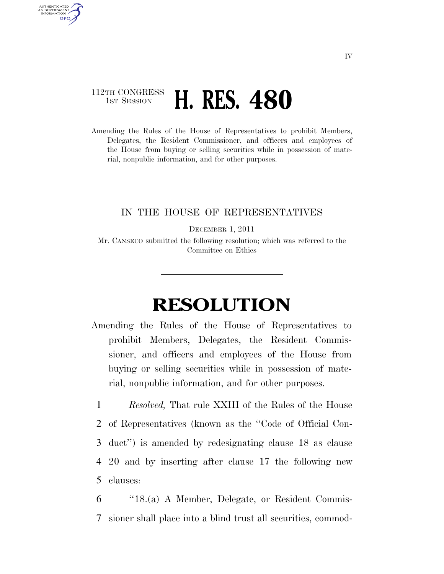## 112TH CONGRESS **1ST SESSION H. RES. 480**

AUTHENTICATED U.S. GOVERNMENT **GPO** 

> Amending the Rules of the House of Representatives to prohibit Members, Delegates, the Resident Commissioner, and officers and employees of the House from buying or selling securities while in possession of material, nonpublic information, and for other purposes.

## IN THE HOUSE OF REPRESENTATIVES

DECEMBER 1, 2011

Mr. CANSECO submitted the following resolution; which was referred to the Committee on Ethics

## **RESOLUTION**

Amending the Rules of the House of Representatives to prohibit Members, Delegates, the Resident Commissioner, and officers and employees of the House from buying or selling securities while in possession of material, nonpublic information, and for other purposes.

 *Resolved,* That rule XXIII of the Rules of the House of Representatives (known as the ''Code of Official Con- duct'') is amended by redesignating clause 18 as clause 20 and by inserting after clause 17 the following new clauses:

6 ''18.(a) A Member, Delegate, or Resident Commis-7 sioner shall place into a blind trust all securities, commod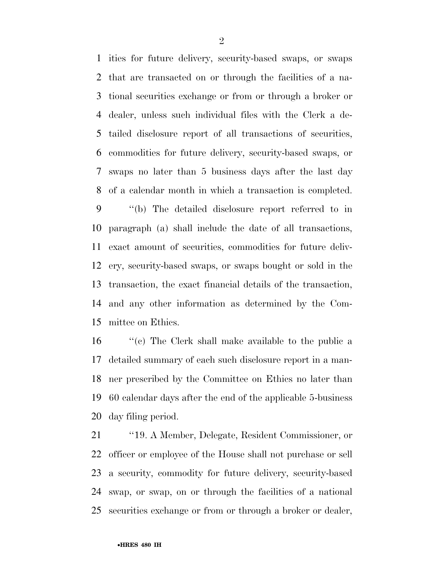ities for future delivery, security-based swaps, or swaps that are transacted on or through the facilities of a na- tional securities exchange or from or through a broker or dealer, unless such individual files with the Clerk a de- tailed disclosure report of all transactions of securities, commodities for future delivery, security-based swaps, or swaps no later than 5 business days after the last day of a calendar month in which a transaction is completed.

 ''(b) The detailed disclosure report referred to in paragraph (a) shall include the date of all transactions, exact amount of securities, commodities for future deliv- ery, security-based swaps, or swaps bought or sold in the transaction, the exact financial details of the transaction, and any other information as determined by the Com-mittee on Ethics.

 ''(c) The Clerk shall make available to the public a detailed summary of each such disclosure report in a man- ner prescribed by the Committee on Ethics no later than 60 calendar days after the end of the applicable 5-business day filing period.

 ''19. A Member, Delegate, Resident Commissioner, or officer or employee of the House shall not purchase or sell a security, commodity for future delivery, security-based swap, or swap, on or through the facilities of a national securities exchange or from or through a broker or dealer,